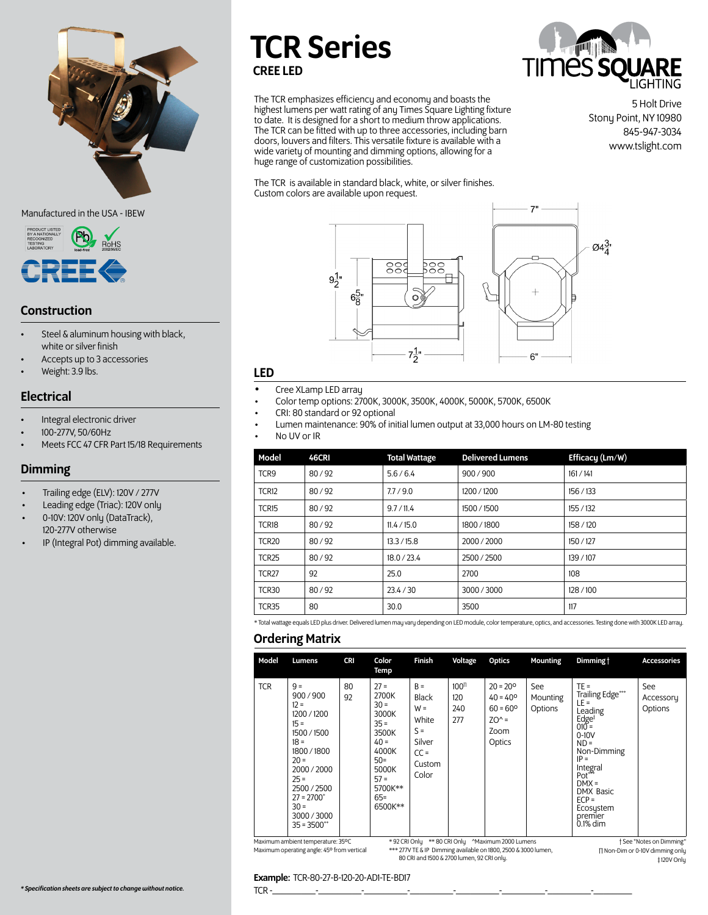

Manufactured in the USA - IBEW



# Construction

- Steel & aluminum housing with black, white or silver finish
- Accepts up to 3 accessories
- Weight: 3.9 lbs.

# Electrical

- Integral electronic driver
- 100-277V, 50/60Hz
- Meets FCC 47 CFR Part 15/18 Requirements

# Dimming

- Trailing edge (ELV): 120V / 277V
- Leading edge (Triac): 120V only
- 0-10V: 120V only (DataTrack), 120-277V otherwise
- IP (Integral Pot) dimming available.

# TCR Series CREE LED

The TCR emphasizes efficiency and economy and boasts the highest lumens per watt rating of any Times Square Lighting fixture to date. It is designed for a short to medium throw applications. The TCR can be fitted with up to three accessories, including barn doors, louvers and filters. This versatile fixture is available with a wide variety of mounting and dimming options, allowing for a huge range of customization possibilities.

The TCR is available in standard black, white, or silver finishes. Custom colors are available upon request.



#### LED

- Cree XLamp LED array
- Color temp options: 2700K, 3000K, 3500K, 4000K, 5000K, 5700K, 6500K
- CRI: 80 standard or 92 optional
- Lumen maintenance: 90% of initial lumen output at 33,000 hours on LM-80 testing
- No UV or IR

| Model             | 46CRI | <b>Total Wattage</b> | <b>Delivered Lumens</b> | Efficacy (Lm/W) |
|-------------------|-------|----------------------|-------------------------|-----------------|
| TCR9              | 80/92 | 5.6/6.4              | 900 / 900               | 161/141         |
| <b>TCR12</b>      | 80/92 | 7.7/9.0              | 1200 / 1200             | 156 / 133       |
| TCR <sub>15</sub> | 80/92 | 9.7 / 11.4           | 1500 / 1500             | 155 / 132       |
| TCR18             | 80/92 | 11.4 / 15.0          | 1800/1800               | 158 / 120       |
| <b>TCR20</b>      | 80/92 | 13.3 / 15.8          | 2000 / 2000             | 150/127         |
| <b>TCR25</b>      | 80/92 | 18.0 / 23.4          | 2500 / 2500             | 139 / 107       |
| <b>TCR27</b>      | 92    | 25.0                 | 2700                    | 108             |
| TCR30             | 80/92 | 23.4 / 30            | 3000/3000               | 128/100         |
| <b>TCR35</b>      | 80    | 30.0                 | 3500                    | 117             |

\* Total wattage equals LED plus driver. Delivered lumen may vary depending on LED module, color temperature, optics, and accessories. Testing done with 3000K LED array.

# Ordering Matrix

| Model      | Lumens                                                                                                                                                                                                 | <b>CRI</b> | Color<br>Temp                                                                                                                         | Finish                                                                                  | Voltage                               | <b>Optics</b>                                                                                    | Mounting                   | Dimming t                                                                                                                                                                                                                                | <b>Accessories</b>          |
|------------|--------------------------------------------------------------------------------------------------------------------------------------------------------------------------------------------------------|------------|---------------------------------------------------------------------------------------------------------------------------------------|-----------------------------------------------------------------------------------------|---------------------------------------|--------------------------------------------------------------------------------------------------|----------------------------|------------------------------------------------------------------------------------------------------------------------------------------------------------------------------------------------------------------------------------------|-----------------------------|
| <b>TCR</b> | $q =$<br>900/900<br>$12 =$<br>1200/1200<br>$15 =$<br>1500 / 1500<br>$18 =$<br>1800 / 1800<br>$20 =$<br>2000 / 2000<br>$25 =$<br>2500 / 2500<br>$27 = 2700*$<br>$30 =$<br>3000 / 3000<br>$35 = 3500$ ** | 80<br>92   | $27 =$<br>2700K<br>$30 =$<br>3000K<br>$35 =$<br>3500K<br>$40 =$<br>4000K<br>$50 =$<br>5000K<br>$57 =$<br>5700K**<br>$65 =$<br>6500K** | $B =$<br><b>Black</b><br>$W =$<br>White<br>$S =$<br>Silver<br>$CC =$<br>Custom<br>Color | 100 <sup>π</sup><br>120<br>240<br>277 | $20 = 20^{\circ}$<br>$40 = 40^{\circ}$<br>$60 = 60^{\circ}$<br>$ZO^{\wedge}$ =<br>Zoom<br>Optics | See<br>Mounting<br>Options | $TE =$<br>Trailing Edge***<br>$LE =$<br>Leading<br>$Edge^{\dagger}$<br>$010 =$<br>$0-10V$<br>$ND =$<br>Non-Dimming<br>$IP =$<br>Integral<br>Pot <sup>***</sup><br>$DMX =$<br>DMX Basic<br>$ECP =$<br>Ecosystem<br>premier<br>$0.1\%$ dim | See<br>Accessory<br>Options |

Maximum operating angle: 45º from vertical

\*\*\* 277V TE & IP Dimming available on 1800, 2500 & 3000 lumen, 80 CRI and 1500 & 2700 lumen, 92 CRI only.

∏ Non-Dim or 0-10V dimming only ‡ 120V Only

5 Holt Drive

Stony Point, NY 10980 845-947-3034 www.tslight.com

**TIMES SO** 

#### Example: TCR-80-27-B-120-20-AD1-TE-BD17

TCR -\_\_\_\_\_\_\_\_\_-\_\_\_\_\_\_\_\_\_-\_\_\_\_\_\_\_\_\_-\_\_\_\_\_\_\_\_\_-\_\_\_\_\_\_\_\_\_-\_\_\_\_\_\_\_\_\_-\_\_\_\_\_\_\_\_\_-\_\_\_\_\_\_\_\_